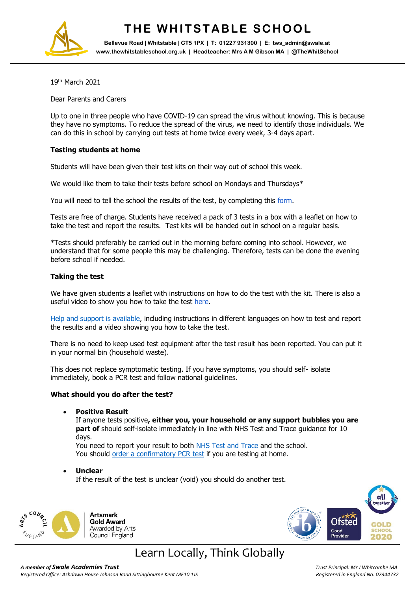

# **THE WHITSTABLE SCHOOL**

**Bellevue Road | Whitstable | CT5 1PX | T: 01227 931300 | E: tws\_admin@swale.at www.thewhitstableschool.org.uk | Headteacher: Mrs A M Gibson MA | @TheWhitSchool**

19th March 2021

Dear Parents and Carers

Up to one in three people who have COVID-19 can spread the virus without knowing. This is because they have no symptoms. To reduce the spread of the virus, we need to identify those individuals. We can do this in school by carrying out tests at home twice every week, 3-4 days apart.

## **Testing students at home**

Students will have been given their test kits on their way out of school this week.

We would like them to take their tests before school on Mondays and Thursdays\*

You will need to tell the school the results of the test, by completing this [form.](https://docs.google.com/forms/d/e/1FAIpQLScJdPJRbvF5JnC4wzIxZeH5A3ZwDseZHN4BF9E7yMnEukY4oQ/viewform?vc=0&c=0&w=1&flr=0&gxids=7628)

Tests are free of charge. Students have received a pack of 3 tests in a box with a leaflet on how to take the test and report the results. Test kits will be handed out in school on a regular basis.

\*Tests should preferably be carried out in the morning before coming into school. However, we understand that for some people this may be challenging. Therefore, tests can be done the evening before school if needed.

## **Taking the test**

We have given students a leaflet with instructions on how to do the test with the kit. There is also a useful video to show you how to take the test [here.](https://www.youtube.com/watch?v=S9XR8RZxKNo&list=PLvaBZskxS7tzQYlVg7lwH5uxAD9UrSzGJ&index=1)

[Help and support is available,](https://www.gov.uk/guidance/covid-19-self-test-help) including instructions in different languages on how to test and report the results and a video showing you how to take the test.

There is no need to keep used test equipment after the test result has been reported. You can put it in your normal bin (household waste).

This does not replace symptomatic testing. If you have symptoms, you should self- isolate immediately, book a [PCR test](https://www.gov.uk/get-coronavirus-test%22%20/t%20%22_blank) and follow national quidelines.

### **What should you do after the test?**

**Positive Result**

If anyone tests positive**, either you, your household or any support bubbles you are part of** should self-isolate immediately in line with NHS Test and Trace guidance for 10 days.

You need to report your result to both [NHS Test and Trace](https://www.gov.uk/report-covid19-result) and the school. You should [order a confirmatory PCR test](https://www.gov.uk/get-coronavirus-test) if you are testing at home.

**Unclear**

If the result of the test is unclear (void) you should do another test.





# Learn Locally, Think Globally